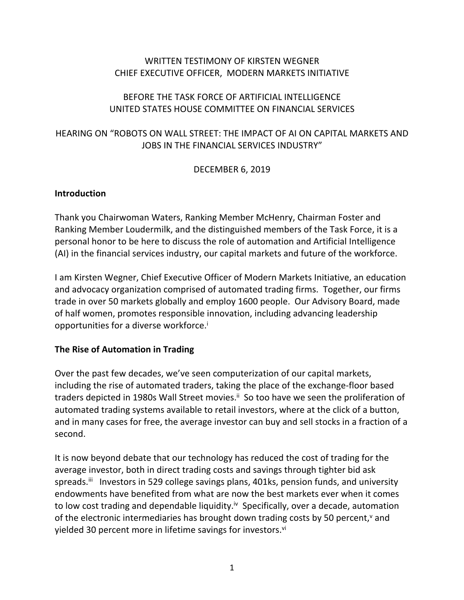## WRITTEN TESTIMONY OF KIRSTEN WEGNER CHIEF EXECUTIVE OFFICER, MODERN MARKETS INITIATIVE

## BEFORE THE TASK FORCE OF ARTIFICIAL INTELLIGENCE UNITED STATES HOUSE COMMITTEE ON FINANCIAL SERVICES

# HEARING ON "ROBOTS ON WALL STREET: THE IMPACT OF AI ON CAPITAL MARKETS AND JOBS IN THE FINANCIAL SERVICES INDUSTRY"

DECEMBER 6, 2019

## **Introduction**

Thank you Chairwoman Waters, Ranking Member McHenry, Chairman Foster and Ranking Member Loudermilk, and the distinguished members of the Task Force, it is a personal honor to be here to discuss the role of automation and Artificial Intelligence (AI) in the financial services industry, our capital markets and future of the workforce.

I am Kirsten Wegner, Chief Executive Officer of Modern Markets Initiative, an education and advocacy organization comprised of automated trading firms. Together, our firms trade in over 50 markets globally and employ 1600 people. Our Advisory Board, made of half women, promotes responsible innovation, including advancing leadership opportunities for a diverse workforce.<sup>i</sup>

## **The Rise of Automation in Trading**

Over the past few decades, we've seen computerization of our capital markets, including the rise of automated traders, taking the place of the exchange-floor based traders depicted in 1980s Wall Street movies.<sup>ii</sup> So too have we seen the proliferation of automated trading systems available to retail investors, where at the click of a button, and in many cases for free, the average investor can buy and sell stocks in a fraction of a second.

It is now beyond debate that our technology has reduced the cost of trading for the average investor, both in direct trading costs and savings through tighter bid ask spreads.<sup>iii</sup> Investors in 529 college savings plans, 401ks, pension funds, and university endowments have benefited from what are now the best markets ever when it comes to low cost trading and dependable liquidity.<sup>iv</sup> Specifically, over a decade, automation of the electronic intermediaries has brought down trading costs by 50 percent,<sup>v</sup> and yielded 30 percent more in lifetime savings for investors.<sup>vi</sup>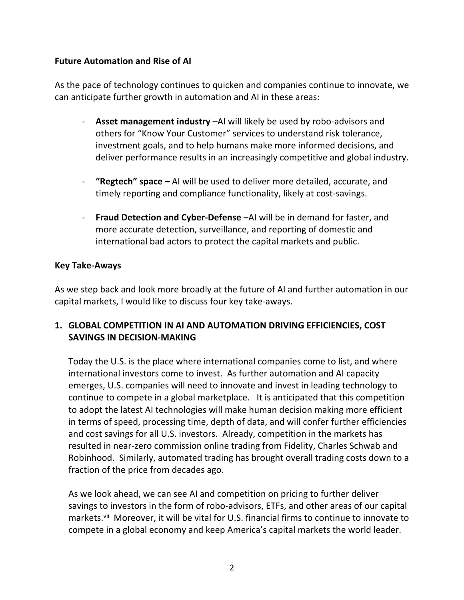## **Future Automation and Rise of AI**

As the pace of technology continues to quicken and companies continue to innovate, we can anticipate further growth in automation and AI in these areas:

- **Asset management industry** –AI will likely be used by robo-advisors and others for "Know Your Customer" services to understand risk tolerance, investment goals, and to help humans make more informed decisions, and deliver performance results in an increasingly competitive and global industry.
- **"Regtech" space –** AI will be used to deliver more detailed, accurate, and timely reporting and compliance functionality, likely at cost-savings.
- **Fraud Detection and Cyber-Defense** –AI will be in demand for faster, and more accurate detection, surveillance, and reporting of domestic and international bad actors to protect the capital markets and public.

#### **Key Take-Aways**

As we step back and look more broadly at the future of AI and further automation in our capital markets, I would like to discuss four key take-aways.

## **1. GLOBAL COMPETITION IN AI AND AUTOMATION DRIVING EFFICIENCIES, COST SAVINGS IN DECISION-MAKING**

Today the U.S. is the place where international companies come to list, and where international investors come to invest. As further automation and AI capacity emerges, U.S. companies will need to innovate and invest in leading technology to continue to compete in a global marketplace. It is anticipated that this competition to adopt the latest AI technologies will make human decision making more efficient in terms of speed, processing time, depth of data, and will confer further efficiencies and cost savings for all U.S. investors. Already, competition in the markets has resulted in near-zero commission online trading from Fidelity, Charles Schwab and Robinhood. Similarly, automated trading has brought overall trading costs down to a fraction of the price from decades ago.

As we look ahead, we can see AI and competition on pricing to further deliver savings to investors in the form of robo-advisors, ETFs, and other areas of our capital markets.<sup>vii</sup> Moreover, it will be vital for U.S. financial firms to continue to innovate to compete in a global economy and keep America's capital markets the world leader.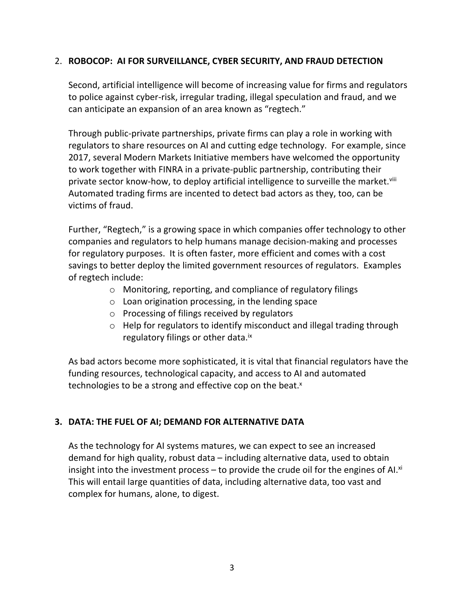## 2. **ROBOCOP: AI FOR SURVEILLANCE, CYBER SECURITY, AND FRAUD DETECTION**

Second, artificial intelligence will become of increasing value for firms and regulators to police against cyber-risk, irregular trading, illegal speculation and fraud, and we can anticipate an expansion of an area known as "regtech."

Through public-private partnerships, private firms can play a role in working with regulators to share resources on AI and cutting edge technology. For example, since 2017, several Modern Markets Initiative members have welcomed the opportunity to work together with FINRA in a private-public partnership, contributing their private sector know-how, to deploy artificial intelligence to surveille the market.<sup>viii</sup> Automated trading firms are incented to detect bad actors as they, too, can be victims of fraud.

Further, "Regtech," is a growing space in which companies offer technology to other companies and regulators to help humans manage decision-making and processes for regulatory purposes. It is often faster, more efficient and comes with a cost savings to better deploy the limited government resources of regulators. Examples of regtech include:

- o Monitoring, reporting, and compliance of regulatory filings
- $\circ$  Loan origination processing, in the lending space
- o Processing of filings received by regulators
- o Help for regulators to identify misconduct and illegal trading through regulatory filings or other data.<sup>ix</sup>

As bad actors become more sophisticated, it is vital that financial regulators have the funding resources, technological capacity, and access to AI and automated technologies to be a strong and effective cop on the beat.<sup>x</sup>

# **3. DATA: THE FUEL OF AI; DEMAND FOR ALTERNATIVE DATA**

As the technology for AI systems matures, we can expect to see an increased demand for high quality, robust data – including alternative data, used to obtain insight into the investment process – to provide the crude oil for the engines of AI. $x$ <sup>i</sup> This will entail large quantities of data, including alternative data, too vast and complex for humans, alone, to digest.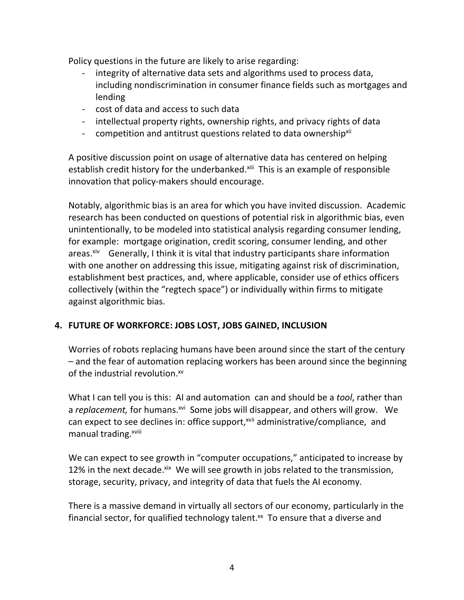Policy questions in the future are likely to arise regarding:

- integrity of alternative data sets and algorithms used to process data, including nondiscrimination in consumer finance fields such as mortgages and lending
- cost of data and access to such data
- intellectual property rights, ownership rights, and privacy rights of data
- competition and antitrust questions related to data ownership<sup>xii</sup>

A positive discussion point on usage of alternative data has centered on helping establish credit history for the underbanked.<sup>xiii</sup> This is an example of responsible innovation that policy-makers should encourage.

Notably, algorithmic bias is an area for which you have invited discussion. Academic research has been conducted on questions of potential risk in algorithmic bias, even unintentionally, to be modeled into statistical analysis regarding consumer lending, for example: mortgage origination, credit scoring, consumer lending, and other  $area: x^i v$  Generally, I think it is vital that industry participants share information with one another on addressing this issue, mitigating against risk of discrimination, establishment best practices, and, where applicable, consider use of ethics officers collectively (within the "regtech space") or individually within firms to mitigate against algorithmic bias.

# **4. FUTURE OF WORKFORCE: JOBS LOST, JOBS GAINED, INCLUSION**

Worries of robots replacing humans have been around since the start of the century – and the fear of automation replacing workers has been around since the beginning of the industrial revolution.<sup>xv</sup>

What I can tell you is this: AI and automation can and should be a *tool*, rather than a *replacement*, for humans.<sup>xvi</sup> Some jobs will disappear, and others will grow. We can expect to see declines in: office support, xvii administrative/compliance, and manual trading.<sup>xviii</sup>

We can expect to see growth in "computer occupations," anticipated to increase by 12% in the next decade. xix We will see growth in jobs related to the transmission, storage, security, privacy, and integrity of data that fuels the AI economy.

There is a massive demand in virtually all sectors of our economy, particularly in the financial sector, for qualified technology talent.<sup>xx</sup> To ensure that a diverse and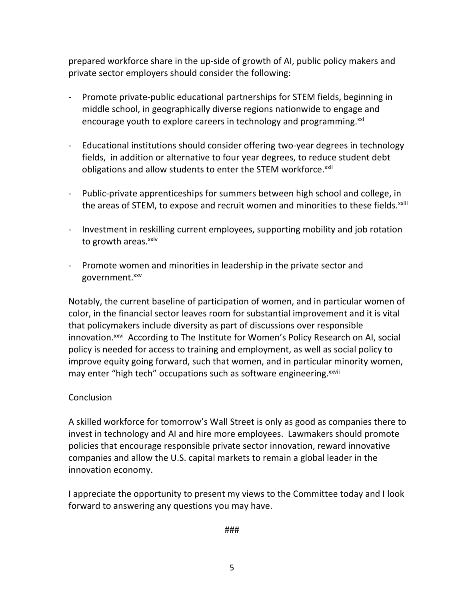prepared workforce share in the up-side of growth of AI, public policy makers and private sector employers should consider the following:

- Promote private-public educational partnerships for STEM fields, beginning in middle school, in geographically diverse regions nationwide to engage and encourage youth to explore careers in technology and programming.<sup>xxi</sup>
- Educational institutions should consider offering two-year degrees in technology fields, in addition or alternative to four year degrees, to reduce student debt obligations and allow students to enter the STEM workforce.<sup>xxii</sup>
- Public-private apprenticeships for summers between high school and college, in the areas of STEM, to expose and recruit women and minorities to these fields.<sup>xxiii</sup>
- Investment in reskilling current employees, supporting mobility and job rotation to growth areas.<sup>xxiv</sup>
- Promote women and minorities in leadership in the private sector and government.<sup>xxv</sup>

Notably, the current baseline of participation of women, and in particular women of color, in the financial sector leaves room for substantial improvement and it is vital that policymakers include diversity as part of discussions over responsible innovation.<sup>xxvi</sup> According to The Institute for Women's Policy Research on AI, social policy is needed for access to training and employment, as well as social policy to improve equity going forward, such that women, and in particular minority women, may enter "high tech" occupations such as software engineering. XXVII

## **Conclusion**

A skilled workforce for tomorrow's Wall Street is only as good as companies there to invest in technology and AI and hire more employees. Lawmakers should promote policies that encourage responsible private sector innovation, reward innovative companies and allow the U.S. capital markets to remain a global leader in the innovation economy.

I appreciate the opportunity to present my views to the Committee today and I look forward to answering any questions you may have.

###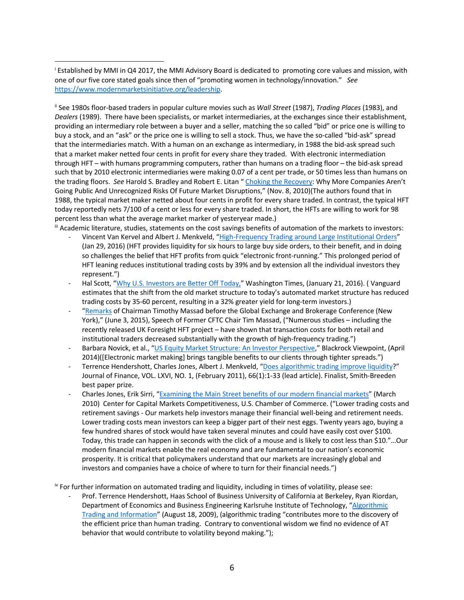<sup>i</sup> Established by MMI in Q4 2017, the MMI Advisory Board is dedicated to promoting core values and mission, with one of our five core stated goals since then of "promoting women in technology/innovation." *See*  https://www.modernmarketsinitiative.org/leadership.

ii See 1980s floor-based traders in popular culture movies such as *Wall Street* (1987), *Trading Places* (1983), and *Dealers* (1989). There have been specialists, or market intermediaries, at the exchanges since their establishment, providing an intermediary role between a buyer and a seller, matching the so called "bid" or price one is willing to buy a stock, and an "ask" or the price one is willing to sell a stock. Thus, we have the so-called "bid-ask" spread that the intermediaries match. With a human on an exchange as intermediary, in 1988 the bid-ask spread such that a market maker netted four cents in profit for every share they traded. With electronic intermediation through HFT – with humans programming computers, rather than humans on a trading floor – the bid-ask spread such that by 2010 electronic intermediaries were making 0.07 of a cent per trade, or 50 times less than humans on the trading floors. *See* Harold S. Bradley and Robert E. Litan " Choking the Recovery: Why More Companies Aren't Going Public And Unrecognized Risks Of Future Market Disruptions," (Nov. 8, 2010)(The authors found that in 1988, the typical market maker netted about four cents in profit for every share traded. In contrast, the typical HFT today reportedly nets 7/100 of a cent or less for every share traded. In short, the HFTs are willing to work for 98 percent less than what the average market marker of yesteryear made.)

- iii Academic literature, studies, statements on the cost savings benefits of automation of the markets to investors: Vincent Van Kervel and Albert J. Menkveld, "High-Frequency Trading around Large Institutional Orders" (Jan 29, 2016) (HFT provides liquidity for six hours to large buy side orders, to their benefit, and in doing so challenges the belief that HFT profits from quick "electronic front-running." This prolonged period of HFT leaning reduces institutional trading costs by 39% and by extension all the individual investors they represent.")
	- Hal Scott, "Why U.S. Investors are Better Off Today," Washington Times, (January 21, 2016). (Vanguard estimates that the shift from the old market structure to today's automated market structure has reduced trading costs by 35-60 percent, resulting in a 32% greater yield for long-term investors.)
	- "Remarks of Chairman Timothy Massad before the Global Exchange and Brokerage Conference (New York)," (June 3, 2015), Speech of Former CFTC Chair Tim Massad, ("Numerous studies – including the recently released UK Foresight HFT project – have shown that transaction costs for both retail and institutional traders decreased substantially with the growth of high-frequency trading.")
	- Barbara Novick, et al., "US Equity Market Structure: An Investor Perspective," Blackrock Viewpoint, (April 2014)([Electronic market making] brings tangible benefits to our clients through tighter spreads.")
	- Terrence Hendershott, Charles Jones, Albert J. Menkveld, "Does algorithmic trading improve liquidity?" Journal of Finance, VOL. LXVI, NO. 1, (February 2011), 66(1):1-33 (lead article). Finalist, Smith-Breeden best paper prize.
	- Charles Jones, Erik Sirri, "Examining the Main Street benefits of our modern financial markets" (March 2010) Center for Capital Markets Competitiveness, U.S. Chamber of Commerce. ("Lower trading costs and retirement savings - Our markets help investors manage their financial well-being and retirement needs. Lower trading costs mean investors can keep a bigger part of their nest eggs. Twenty years ago, buying a few hundred shares of stock would have taken several minutes and could have easily cost over \$100. Today, this trade can happen in seconds with the click of a mouse and is likely to cost less than \$10."…Our modern financial markets enable the real economy and are fundamental to our nation's economic prosperity. It is critical that policymakers understand that our markets are increasingly global and investors and companies have a choice of where to turn for their financial needs.")

iv For further information on automated trading and liquidity, including in times of volatility, please see:

Prof. Terrence Hendershott, Haas School of Business University of California at Berkeley, Ryan Riordan, Department of Economics and Business Engineering Karlsruhe Institute of Technology, "Algorithmic Trading and Information" (August 18, 2009), (algorithmic trading "contributes more to the discovery of the efficient price than human trading. Contrary to conventional wisdom we find no evidence of AT behavior that would contribute to volatility beyond making.");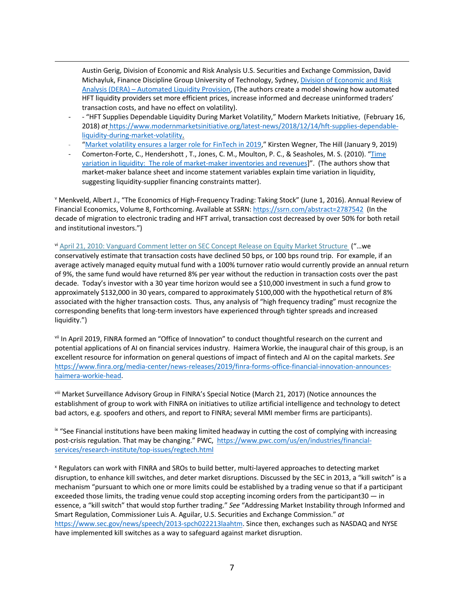Austin Gerig, Division of Economic and Risk Analysis U.S. Securities and Exchange Commission, David Michayluk, Finance Discipline Group University of Technology, Sydney, Division of Economic and Risk Analysis (DERA) – Automated Liquidity Provision, (The authors create a model showing how automated HFT liquidity providers set more efficient prices, increase informed and decrease uninformed traders' transaction costs, and have no effect on volatility).

- *-* "HFT Supplies Dependable Liquidity During Market Volatility," Modern Markets Initiative, (February 16, 2018) *at* https://www.modernmarketsinitiative.org/latest-news/2018/12/14/hft-supplies-dependableliquidity-during-market-volatility.
- "Market volatility ensures a larger role for FinTech in 2019," Kirsten Wegner, The Hill (January 9, 2019)
- Comerton-Forte, C., Hendershott , T., Jones, C. M., Moulton, P. C., & Seasholes, M. S. (2010). "Time variation in liquidity: The role of market-maker inventories and revenues]". (The authors show that market-maker balance sheet and income statement variables explain time variation in liquidity, suggesting liquidity-supplier financing constraints matter).

<sup>v</sup> Menkveld, Albert J., "The Economics of High-Frequency Trading: Taking Stock" (June 1, 2016). Annual Review of Financial Economics, Volume 8, Forthcoming. Available at SSRN: https://ssrn.com/abstract=2787542 (In the decade of migration to electronic trading and HFT arrival, transaction cost decreased by over 50% for both retail and institutional investors.")

vi April 21, 2010: Vanguard Comment letter on SEC Concept Release on Equity Market Structure ("...we conservatively estimate that transaction costs have declined 50 bps, or 100 bps round trip. For example, if an average actively managed equity mutual fund with a 100% turnover ratio would currently provide an annual return of 9%, the same fund would have returned 8% per year without the reduction in transaction costs over the past decade. Today's investor with a 30 year time horizon would see a \$10,000 investment in such a fund grow to approximately \$132,000 in 30 years, compared to approximately \$100,000 with the hypothetical return of 8% associated with the higher transaction costs. Thus, any analysis of "high frequency trading" must recognize the corresponding benefits that long-term investors have experienced through tighter spreads and increased liquidity.")

vii In April 2019, FINRA formed an "Office of Innovation" to conduct thoughtful research on the current and potential applications of AI on financial services industry. Haimera Workie, the inaugural chair of this group, is an excellent resource for information on general questions of impact of fintech and AI on the capital markets. *See*  https://www.finra.org/media-center/news-releases/2019/finra-forms-office-financial-innovation-announceshaimera-workie-head.

viii Market Surveillance Advisory Group in FINRA's Special Notice (March 21, 2017) (Notice announces the establishment of group to work with FINRA on initiatives to utilize artificial intelligence and technology to detect bad actors, e.g. spoofers and others, and report to FINRA; several MMI member firms are participants).

IX "See Financial institutions have been making limited headway in cutting the cost of complying with increasing post-crisis regulation. That may be changing." PWC, https://www.pwc.com/us/en/industries/financialservices/research-institute/top-issues/regtech.html

<sup>x</sup> Regulators can work with FINRA and SROs to build better, multi-layered approaches to detecting market disruption, to enhance kill switches, and deter market disruptions. Discussed by the SEC in 2013, a "kill switch" is a mechanism "pursuant to which one or more limits could be established by a trading venue so that if a participant exceeded those limits, the trading venue could stop accepting incoming orders from the participant30 — in essence, a "kill switch" that would stop further trading." *See* "Addressing Market Instability through Informed and Smart Regulation, Commissioner Luis A. Aguilar, U.S. Securities and Exchange Commission." *at*  https://www.sec.gov/news/speech/2013-spch022213laahtm. Since then, exchanges such as NASDAQ and NYSE have implemented kill switches as a way to safeguard against market disruption.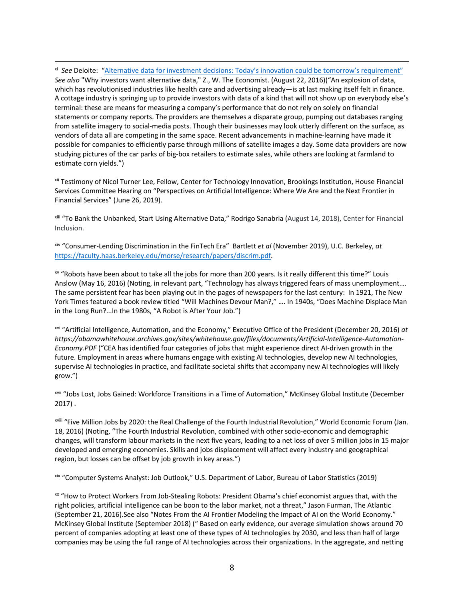xi *See* Deloite: "Alternative data for investment decisions: Today's innovation could be tomorrow's requirement" *See also* "Why investors want alternative data," Z., W. The Economist. (August 22, 2016)("An explosion of data, which has revolutionised industries like health care and advertising already—is at last making itself felt in finance. A cottage industry is springing up to provide investors with data of a kind that will not show up on everybody else's terminal: these are means for measuring a company's performance that do not rely on solely on financial statements or company reports. The providers are themselves a disparate group, pumping out databases ranging from satellite imagery to social-media posts. Though their businesses may look utterly different on the surface, as vendors of data all are competing in the same space. Recent advancements in machine-learning have made it possible for companies to efficiently parse through millions of satellite images a day. Some data providers are now studying pictures of the car parks of big-box retailers to estimate sales, while others are looking at farmland to estimate corn yields.")

xii Testimony of Nicol Turner Lee, Fellow, Center for Technology Innovation, Brookings Institution, House Financial Services Committee Hearing on "Perspectives on Artificial Intelligence: Where We Are and the Next Frontier in Financial Services" (June 26, 2019).

xiii "To Bank the Unbanked, Start Using Alternative Data," Rodrigo Sanabria (August 14, 2018), Center for Financial Inclusion.

xiv "Consumer-Lending Discrimination in the FinTech Era" Bartlett *et al* (November 2019), U.C. Berkeley, *at*  https://faculty.haas.berkeley.edu/morse/research/papers/discrim.pdf.

xv "Robots have been about to take all the jobs for more than 200 years. Is it really different this time?" Louis Anslow (May 16, 2016) (Noting, in relevant part, "Technology has always triggered fears of mass unemployment…. The same persistent fear has been playing out in the pages of newspapers for the last century: In 1921, The New York Times featured a book review titled "Will Machines Devour Man?," …. In 1940s, "Does Machine Displace Man in the Long Run?...In the 1980s, "A Robot is After Your Job.")

xvi "Artificial Intelligence, Automation, and the Economy," Executive Office of the President (December 20, 2016) *at https://obamawhitehouse.archives.gov/sites/whitehouse.gov/files/documents/Artificial-Intelligence-Automation-Economy.PDF* ("CEA has identified four categories of jobs that might experience direct AI-driven growth in the future. Employment in areas where humans engage with existing AI technologies, develop new AI technologies, supervise AI technologies in practice, and facilitate societal shifts that accompany new AI technologies will likely grow.")

xvii "Jobs Lost, Jobs Gained: Workforce Transitions in a Time of Automation," McKinsey Global Institute (December 2017) .

xviii "Five Million Jobs by 2020: the Real Challenge of the Fourth Industrial Revolution," World Economic Forum (Jan. 18, 2016) (Noting, "The Fourth Industrial Revolution, combined with other socio-economic and demographic changes, will transform labour markets in the next five years, leading to a net loss of over 5 million jobs in 15 major developed and emerging economies. Skills and jobs displacement will affect every industry and geographical region, but losses can be offset by job growth in key areas.")

xix "Computer Systems Analyst: Job Outlook," U.S. Department of Labor, Bureau of Labor Statistics (2019)

xx "How to Protect Workers From Job-Stealing Robots: President Obama's chief economist argues that, with the right policies, artificial intelligence can be boon to the labor market, not a threat," Jason Furman, The Atlantic (September 21, 2016).See also "Notes From the AI Frontier Modeling the Impact of AI on the World Economy." McKinsey Global Institute (September 2018) (" Based on early evidence, our average simulation shows around 70 percent of companies adopting at least one of these types of AI technologies by 2030, and less than half of large companies may be using the full range of AI technologies across their organizations. In the aggregate, and netting